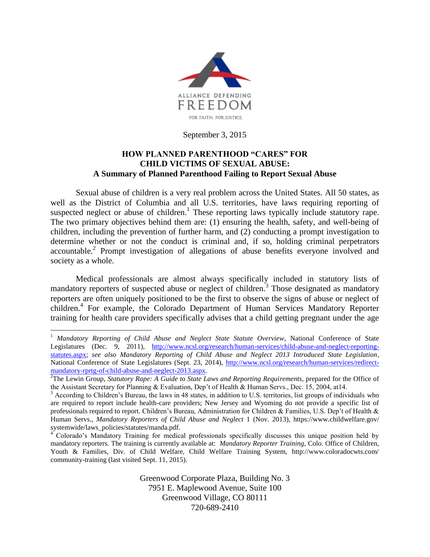

September 3, 2015

#### **HOW PLANNED PARENTHOOD "CARES" FOR CHILD VICTIMS OF SEXUAL ABUSE: A Summary of Planned Parenthood Failing to Report Sexual Abuse**

Sexual abuse of children is a very real problem across the United States. All 50 states, as well as the District of Columbia and all U.S. territories, have laws requiring reporting of suspected neglect or abuse of children.<sup>1</sup> These reporting laws typically include statutory rape. The two primary objectives behind them are: (1) ensuring the health, safety, and well-being of children, including the prevention of further harm, and (2) conducting a prompt investigation to determine whether or not the conduct is criminal and, if so, holding criminal perpetrators accountable.<sup>2</sup> Prompt investigation of allegations of abuse benefits everyone involved and society as a whole.

Medical professionals are almost always specifically included in statutory lists of mandatory reporters of suspected abuse or neglect of children.<sup>3</sup> Those designated as mandatory reporters are often uniquely positioned to be the first to observe the signs of abuse or neglect of children.<sup>4</sup> For example, the Colorado Department of Human Services Mandatory Reporter training for health care providers specifically advises that a child getting pregnant under the age

 $\overline{a}$ 

Greenwood Corporate Plaza, Building No. 3 7951 E. Maplewood Avenue, Suite 100 Greenwood Village, CO 80111 720-689-2410

<sup>&</sup>lt;sup>1</sup> Mandatory Reporting of Child Abuse and Neglect State Statute Overview, National Conference of State Legislatures (Dec. 9, 2011), [http://www.ncsl.org/research/human-services/child-abuse-and-neglect-reporting](http://www.ncsl.org/research/human-services/child-abuse-and-neglect-reporting-statutes.aspx)[statutes.aspx;](http://www.ncsl.org/research/human-services/child-abuse-and-neglect-reporting-statutes.aspx) *see also Mandatory Reporting of Child Abuse and Neglect 2013 Introduced State Legislation*, National Conference of State Legislatures (Sept. 23, 2014), [http://www.ncsl.org/research/human-services/redirect](http://www.ncsl.org/research/human-services/redirect-mandatory-rprtg-of-child-abuse-and-neglect-2013.aspx)[mandatory-rprtg-of-child-abuse-and-neglect-2013.aspx.](http://www.ncsl.org/research/human-services/redirect-mandatory-rprtg-of-child-abuse-and-neglect-2013.aspx)

<sup>&</sup>lt;sup>2</sup>The Lewin Group, *Statutory Rape: A Guide to State Laws and Reporting Requirements*, prepared for the Office of the Assistant Secretary for Planning & Evaluation, Dep't of Health & Human Servs., Dec. 15, 2004, at14.

 $3$  According to Children's Bureau, the laws in 48 states, in addition to U.S. territories, list groups of individuals who are required to report include health-care providers; New Jersey and Wyoming do not provide a specific list of professionals required to report. Children's Bureau, Administration for Children & Families, U.S. Dep't of Health & Human Servs., *Mandatory Reporters of Child Abuse and Neglect* 1 (Nov. 2013), https://www.childwelfare.gov/ systemwide/laws\_policies/statutes/manda.pdf.

<sup>4</sup> Colorado's Mandatory Training for medical professionals specifically discusses this unique position held by mandatory reporters. The training is currently available at: *Mandatory Reporter Training*, Colo. Office of Children, Youth & Families, Div. of Child Welfare, Child Welfare Training System, http://www.coloradocwts.com/ community-training (last visited Sept. 11, 2015).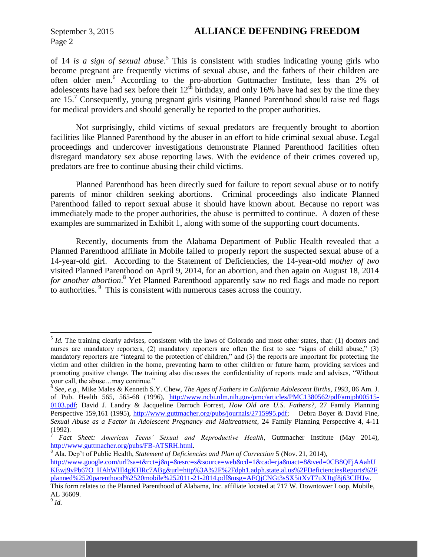of 14 *is a sign of sexual abuse*. 5 This is consistent with studies indicating young girls who become pregnant are frequently victims of sexual abuse, and the fathers of their children are often older men. <sup>6</sup> According to the pro-abortion Guttmacher Institute, less than 2% of adolescents have had sex before their  $12<sup>th</sup>$  birthday, and only 16% have had sex by the time they are  $15<sup>7</sup>$  Consequently, young pregnant girls visiting Planned Parenthood should raise red flags for medical providers and should generally be reported to the proper authorities.

Not surprisingly, child victims of sexual predators are frequently brought to abortion facilities like Planned Parenthood by the abuser in an effort to hide criminal sexual abuse. Legal proceedings and undercover investigations demonstrate Planned Parenthood facilities often disregard mandatory sex abuse reporting laws. With the evidence of their crimes covered up, predators are free to continue abusing their child victims.

Planned Parenthood has been directly sued for failure to report sexual abuse or to notify parents of minor children seeking abortions. Criminal proceedings also indicate Planned Parenthood failed to report sexual abuse it should have known about. Because no report was immediately made to the proper authorities, the abuse is permitted to continue. A dozen of these examples are summarized in Exhibit 1, along with some of the supporting court documents.

Recently, documents from the Alabama Department of Public Health revealed that a Planned Parenthood affiliate in Mobile failed to properly report the suspected sexual abuse of a 14-year-old girl. According to the Statement of Deficiencies, the 14-year-old *mother of two* visited Planned Parenthood on April 9, 2014, for an abortion, and then again on August 18, 2014 *for another abortion*. <sup>8</sup> Yet Planned Parenthood apparently saw no red flags and made no report to authorities. <sup>9</sup> This is consistent with numerous cases across the country.

<sup>8</sup> Ala. Dep't of Public Health, *Statement of Deficiencies and Plan of Correction* 5 (Nov. 21, 2014),

 $\overline{a}$ 

<sup>&</sup>lt;sup>5</sup> *Id*. The training clearly advises, consistent with the laws of Colorado and most other states, that: (1) doctors and nurses are mandatory reporters, (2) mandatory reporters are often the first to see "signs of child abuse," (3) mandatory reporters are "integral to the protection of children," and (3) the reports are important for protecting the victim and other children in the home, preventing harm to other children or future harm, providing services and promoting positive change. The training also discusses the confidentiality of reports made and advises, "Without your call, the abuse…may continue." 6 *See, e.g.*, Mike Males & Kenneth S.Y. Chew, *The Ages of Fathers in California Adolescent Births, 1993*, 86 Am. J.

of Pub. Health 565, 565-68 (1996), [http://www.ncbi.nlm.nih.gov/pmc/articles/PMC1380562/pdf/amjph00515-](http://www.ncbi.nlm.nih.gov/pmc/articles/PMC1380562/pdf/amjph00515-0103.pdf) [0103.pdf;](http://www.ncbi.nlm.nih.gov/pmc/articles/PMC1380562/pdf/amjph00515-0103.pdf) David J. Landry & Jacqueline Darroch Forrest, *How Old are U.S. Fathers?,* 27 Family Planning Perspective 159,161 (1995), [http://www.guttmacher.org/pubs/journals/2715995.pdf;](http://www.guttmacher.org/pubs/journals/2715995.pdf) Debra Boyer & David Fine, *Sexual Abuse as a Factor in Adolescent Pregnancy and Maltreatment*, 24 Family Planning Perspective 4, 4-11 (1992).

<sup>7</sup> *Fact Sheet: American Teens' Sexual and Reproductive Health*, Guttmacher Institute (May 2014), [http://www.guttmacher.org/pubs/FB-ATSRH.html.](http://www.guttmacher.org/pubs/FB-ATSRH.html)

[http://www.google.com/url?sa=t&rct=j&q=&esrc=s&source=web&cd=1&cad=rja&uact=8&ved=0CB8QFjAAahU](http://www.google.com/url?sa=t&rct=j&q=&esrc=s&source=web&cd=1&cad=rja&uact=8&ved=0CB8QFjAAahUKEwj9vPb67O_HAhWHl4gKHRc7ABg&url=http%3A%2F%2Fdph1.adph.state.al.us%2FDeficienciesReports%2Fplanned%2520parenthood%2520mobile%252011-21-2014.pdf&usg=AFQjCNGt3sSX5itXvT7uXJtgf8j63CIHJw) [KEwj9vPb67O\\_HAhWHl4gKHRc7ABg&url=http%3A%2F%2Fdph1.adph.state.al.us%2FDeficienciesReports%2F](http://www.google.com/url?sa=t&rct=j&q=&esrc=s&source=web&cd=1&cad=rja&uact=8&ved=0CB8QFjAAahUKEwj9vPb67O_HAhWHl4gKHRc7ABg&url=http%3A%2F%2Fdph1.adph.state.al.us%2FDeficienciesReports%2Fplanned%2520parenthood%2520mobile%252011-21-2014.pdf&usg=AFQjCNGt3sSX5itXvT7uXJtgf8j63CIHJw) [planned%2520parenthood%2520mobile%252011-21-2014.pdf&usg=AFQjCNGt3sSX5itXvT7uXJtgf8j63CIHJw.](http://www.google.com/url?sa=t&rct=j&q=&esrc=s&source=web&cd=1&cad=rja&uact=8&ved=0CB8QFjAAahUKEwj9vPb67O_HAhWHl4gKHRc7ABg&url=http%3A%2F%2Fdph1.adph.state.al.us%2FDeficienciesReports%2Fplanned%2520parenthood%2520mobile%252011-21-2014.pdf&usg=AFQjCNGt3sSX5itXvT7uXJtgf8j63CIHJw) This form relates to the Planned Parenthood of Alabama, Inc. affiliate located at 717 W. Downtower Loop, Mobile,

AL 36609.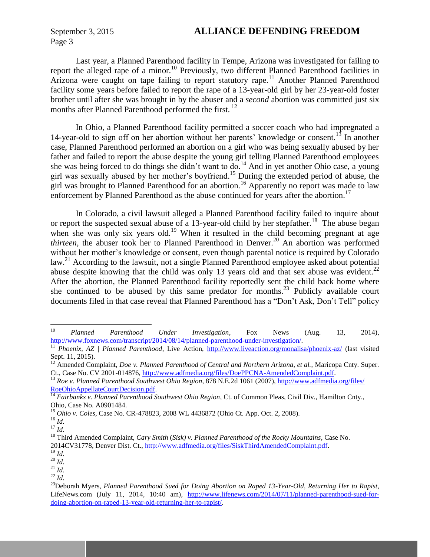## September 3, 2015 **ALLIANCE DEFENDING FREEDOM**

Last year, a Planned Parenthood facility in Tempe, Arizona was investigated for failing to report the alleged rape of a minor.<sup>10</sup> Previously, two different Planned Parenthood facilities in Arizona were caught on tape failing to report statutory rape.<sup>11</sup> Another Planned Parenthood facility some years before failed to report the rape of a 13-year-old girl by her 23-year-old foster brother until after she was brought in by the abuser and a *second* abortion was committed just six months after Planned Parenthood performed the first.<sup>12</sup>

In Ohio, a Planned Parenthood facility permitted a soccer coach who had impregnated a 14-year-old to sign off on her abortion without her parents' knowledge or consent.<sup>13</sup> In another case, Planned Parenthood performed an abortion on a girl who was being sexually abused by her father and failed to report the abuse despite the young girl telling Planned Parenthood employees she was being forced to do things she didn't want to do. <sup>14</sup> And in yet another Ohio case, a young girl was sexually abused by her mother's boyfriend. <sup>15</sup> During the extended period of abuse, the girl was brought to Planned Parenthood for an abortion.<sup>16</sup> Apparently no report was made to law enforcement by Planned Parenthood as the abuse continued for years after the abortion.<sup>17</sup>

In Colorado, a civil lawsuit alleged a Planned Parenthood facility failed to inquire about or report the suspected sexual abuse of a 13-year-old child by her stepfather.<sup>18</sup> The abuse began when she was only six years old.<sup>19</sup> When it resulted in the child becoming pregnant at age *thirteen*, the abuser took her to Planned Parenthood in Denver. <sup>20</sup> An abortion was performed without her mother's knowledge or consent, even though parental notice is required by Colorado law.<sup>21</sup> According to the lawsuit, not a single Planned Parenthood employee asked about potential abuse despite knowing that the child was only 13 years old and that sex abuse was evident.<sup>22</sup> After the abortion, the Planned Parenthood facility reportedly sent the child back home where she continued to be abused by this same predator for months.<sup>23</sup> Publicly available court documents filed in that case reveal that Planned Parenthood has a "Don't Ask, Don't Tell" policy

 $10\,$ <sup>10</sup> *Planned Parenthood Under Investigation*, Fox News (Aug. 13, 2014), [http://www.foxnews.com/transcript/2014/08/14/planned-parenthood-under-investigation/.](http://www.foxnews.com/transcript/2014/08/14/planned-parenthood-under-investigation/)

<sup>&</sup>lt;sup>11</sup> *Phoenix, AZ | Planned Parenthood, Live Action, <http://www.liveaction.org/monalisa/phoenix-az/> (last visited* Sept. 11, 2015).

<sup>&</sup>lt;sup>12</sup> Amended Complaint, *Doe v. Planned Parenthood of Central and Northern Arizona, et al.*, Maricopa Cnty. Super. Ct., Case No. CV 2001-014876, [http://www.adfmedia.org/files/DoePPCNA-AmendedComplaint.pdf.](http://www.adfmedia.org/files/DoePPCNA-AmendedComplaint.pdf)

<sup>&</sup>lt;sup>13</sup> Roe v. Planned Parenthood Southwest Ohio Region, 878 N.E.2d 1061 (2007), [http://www.adfmedia.org/files/](http://www.adfmedia.org/files/%0bRoeOhioAppellateCourtDecision.pdf) [RoeOhioAppellateCourtDecision.pdf.](http://www.adfmedia.org/files/%0bRoeOhioAppellateCourtDecision.pdf)

<sup>&</sup>lt;sup>14</sup> Fairbanks v. Planned Parenthood Southwest Ohio Region, Ct. of Common Pleas, Civil Div., Hamilton Cnty., Ohio, Case No. A0901484.

<sup>15</sup> *Ohio v. Coles*, Case No. CR-478823, 2008 WL 4436872 (Ohio Ct. App. Oct. 2, 2008).

<sup>16</sup> *Id.*

<sup>17</sup> *Id.*

<sup>18</sup> Third Amended Complaint, *Cary Smith* (*Sisk) v. Planned Parenthood of the Rocky Mountains*, Case No. 2014CV31778, Denver Dist. Ct., [http://www.adfmedia.org/files/SiskThirdAmendedComplaint.pdf.](http://www.adfmedia.org/files/SiskThirdAmendedComplaint.pdf)

<sup>19</sup> *Id.*

<sup>20</sup> *Id.*

<sup>21</sup> *Id.* <sup>22</sup> *Id.*

<sup>23</sup>Deborah Myers, *Planned Parenthood Sued for Doing Abortion on Raped 13-Year-Old, Returning Her to Rapist*, LifeNews.com (July 11, 2014, 10:40 am), [http://www.lifenews.com/2014/07/11/planned-parenthood-sued-for](http://www.lifenews.com/2014/07/11/planned-parenthood-sued-for-doing-abortion-on-raped-13-year-old-returning-her-to-rapist/)[doing-abortion-on-raped-13-year-old-returning-her-to-rapist/.](http://www.lifenews.com/2014/07/11/planned-parenthood-sued-for-doing-abortion-on-raped-13-year-old-returning-her-to-rapist/)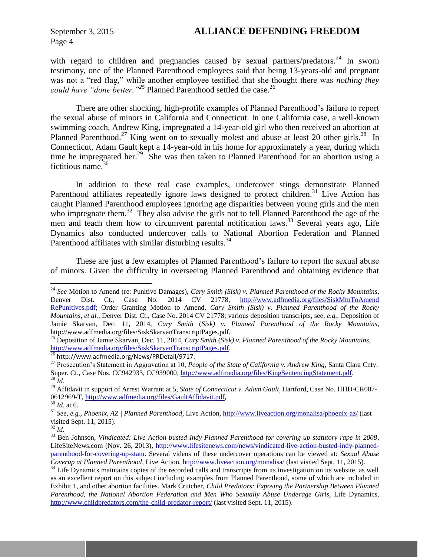with regard to children and pregnancies caused by sexual partners/predators.<sup>24</sup> In sworn testimony, one of the Planned Parenthood employees said that being 13-years-old and pregnant was not a "red flag," while another employee testified that she thought there was *nothing they*  could have "done better.<sup>"25</sup> Planned Parenthood settled the case.<sup>26</sup>

There are other shocking, high-profile examples of Planned Parenthood's failure to report the sexual abuse of minors in California and Connecticut. In one California case, a well-known swimming coach, Andrew King, impregnated a 14-year-old girl who then received an abortion at Planned Parenthood.<sup>27</sup> King went on to sexually molest and abuse at least 20 other girls.<sup>28</sup> In Connecticut, Adam Gault kept a 14-year-old in his home for approximately a year, during which time he impregnated her.<sup>29</sup> She was then taken to Planned Parenthood for an abortion using a fictitious name.<sup>30</sup>

In addition to these real case examples, undercover stings demonstrate Planned Parenthood affiliates repeatedly ignore laws designed to protect children.<sup>31</sup> Live Action has caught Planned Parenthood employees ignoring age disparities between young girls and the men who impregnate them.<sup>32</sup> They also advise the girls not to tell Planned Parenthood the age of the men and teach them how to circumvent parental notification laws.<sup>33</sup> Several years ago, Life Dynamics also conducted undercover calls to National Abortion Federation and Planned Parenthood affiliates with similar disturbing results.<sup>34</sup>

These are just a few examples of Planned Parenthood's failure to report the sexual abuse of minors. Given the difficulty in overseeing Planned Parenthood and obtaining evidence that

 $\overline{a}$ 

<sup>24</sup> *See* Motion to Amend (re: Punitive Damages), *Cary Smith (Sisk) v. Planned Parenthood of the Rocky Mountains*, Denver Dist. Ct., Case No. 2014 CV 21778, [http://www.adfmedia.org/files/SiskMtnToAmend](http://www.adfmedia.org/files/SiskMtnToAmend%0bRePunitives.pdf) [RePunitives.pdf;](http://www.adfmedia.org/files/SiskMtnToAmend%0bRePunitives.pdf) Order Granting Motion to Amend, *Cary Smith (Sisk) v. Planned Parenthood of the Rocky Mountains, et al.*, Denver Dist. Ct., Case No. 2014 CV 21778; various deposition transcripts, see, *e.g.*, Deposition of Jamie Skarvan, Dec. 11, 2014, *Cary Smith* (*Sisk) v. Planned Parenthood of the Rocky Mountains*, http://www.adfmedia.org/files/SiskSkarvanTranscriptPages.pdf.

<sup>25</sup> Deposition of Jamie Skarvan, Dec. 11, 2014, *Cary Smith* (*Sisk) v. Planned Parenthood of the Rocky Mountains*, [http://www.adfmedia.org/files/SiskSkarvanTranscriptPages.pdf.](http://www.adfmedia.org/files/SiskSkarvanTranscriptPages.pdf)

<sup>26</sup> http://www.adfmedia.org/News/PRDetail/9717.

<sup>27</sup> Prosecution's Statement in Aggravation at 10, *People of the State of California v. Andrew King*, Santa Clara Cnty. Super. Ct., Case Nos. CC942933, CC939000, [http://www.adfmedia.org/files/KingSentencingStatement.pdf.](http://www.adfmedia.org/files/KingSentencingStatement.pdf) <sup>28</sup> *Id.*

<sup>&</sup>lt;sup>29</sup> Affidavit in support of Arrest Warrant at 5, *State of Connecticut v. Adam Gault*, Hartford, Case No. HHD-CR007-0612969-T[, http://www.adfmedia.org/files/GaultAffidavit.pdf,](http://www.adfmedia.org/files/GaultAffidavit.pdf)

<sup>30</sup> *Id.* at 6.

<sup>31</sup> *See*, *e.g.*, *Phoenix, AZ | Planned Parenthood*, Live Action,<http://www.liveaction.org/monalisa/phoenix-az/> (last visited Sept. 11, 2015).

<sup>32</sup> *Id.*

<sup>33</sup> Ben Johnson, *Vindicated: Live Action busted Indy Planned Parenthood for covering up statutory rape in 2008*, LifeSiteNews.com (Nov. 26, 2013), [http://www.lifesitenews.com/news/vindicated-live-action-busted-indy-planned](http://www.lifesitenews.com/news/vindicated-live-action-busted-indy-planned-parenthood-for-covering-up-statu)[parenthood-for-covering-up-statu.](http://www.lifesitenews.com/news/vindicated-live-action-busted-indy-planned-parenthood-for-covering-up-statu) Several videos of these undercover operations can be viewed at: *Sexual Abuse Coverup at Planned Parenthood*, Live Action,<http://www.liveaction.org/monalisa/> (last visited Sept. 11, 2015).

<sup>&</sup>lt;sup>34</sup> Life Dynamics maintains copies of the recorded calls and transcripts from its investigation on its website, as well as an excellent report on this subject including examples from Planned Parenthood, some of which are included in Exhibit 1, and other abortion facilities. Mark Crutcher, *Child Predators: Exposing the Partnership Between Planned Parenthood, the National Abortion Federation and Men Who Sexually Abuse Underage Girls*, Life Dynamics, <http://www.childpredators.com/the-child-predator-report/> (last visited Sept. 11, 2015).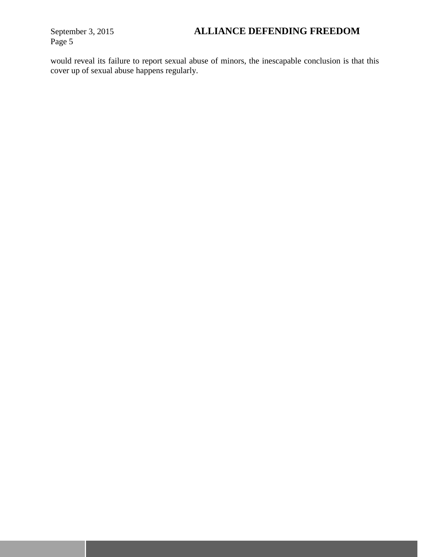would reveal its failure to report sexual abuse of minors, the inescapable conclusion is that this cover up of sexual abuse happens regularly.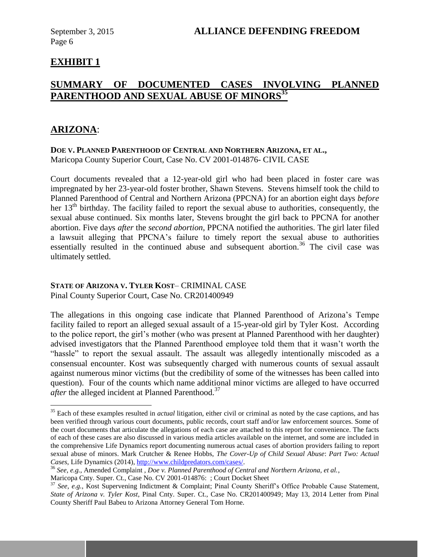# **EXHIBIT 1**

# **SUMMARY OF DOCUMENTED CASES INVOLVING PLANNED PARENTHOOD AND SEXUAL ABUSE OF MINORS<sup>35</sup>**

## **ARIZONA**:

 $\overline{a}$ 

#### **DOE V. PLANNED PARENTHOOD OF CENTRAL AND NORTHERN ARIZONA, ET AL.,** Maricopa County Superior Court, Case No. CV 2001-014876- CIVIL CASE

Court documents revealed that a 12-year-old girl who had been placed in foster care was impregnated by her 23-year-old foster brother, Shawn Stevens. Stevens himself took the child to Planned Parenthood of Central and Northern Arizona (PPCNA) for an abortion eight days *before* her  $13<sup>th</sup>$  birthday. The facility failed to report the sexual abuse to authorities, consequently, the sexual abuse continued. Six months later, Stevens brought the girl back to PPCNA for another abortion. Five days *after* the *second abortion*, PPCNA notified the authorities. The girl later filed a lawsuit alleging that PPCNA's failure to timely report the sexual abuse to authorities essentially resulted in the continued abuse and subsequent abortion.<sup>36</sup> The civil case was ultimately settled.

## **STATE OF ARIZONA V. TYLER KOST**– CRIMINAL CASE

Pinal County Superior Court, Case No. CR201400949

The allegations in this ongoing case indicate that Planned Parenthood of Arizona's Tempe facility failed to report an alleged sexual assault of a 15-year-old girl by Tyler Kost. According to the police report, the girl's mother (who was present at Planned Parenthood with her daughter) advised investigators that the Planned Parenthood employee told them that it wasn't worth the "hassle" to report the sexual assault. The assault was allegedly intentionally miscoded as a consensual encounter. Kost was subsequently charged with numerous counts of sexual assault against numerous minor victims (but the credibility of some of the witnesses has been called into question). Four of the counts which name additional minor victims are alleged to have occurred *after* the alleged incident at Planned Parenthood.<sup>37</sup>

<sup>&</sup>lt;sup>35</sup> Each of these examples resulted in *actual* litigation, either civil or criminal as noted by the case captions, and has been verified through various court documents, public records, court staff and/or law enforcement sources. Some of the court documents that articulate the allegations of each case are attached to this report for convenience. The facts of each of these cases are also discussed in various media articles available on the internet, and some are included in the comprehensive Life Dynamics report documenting numerous actual cases of abortion providers failing to report sexual abuse of minors. Mark Crutcher & Renee Hobbs, *The Cover-Up of Child Sexual Abuse*: *Part Two: Actual Cases*, Life Dynamics (2014), [http://www.childpredators.com/cases/.](http://www.childpredators.com/cases/)

<sup>36</sup> *See*, *e.g.*, Amended Complaint *, Doe v. Planned Parenthood of Central and Northern Arizona, et al.*,

Maricopa Cnty. Super. Ct., Case No. CV 2001-014876: ; Court Docket Sheet

<sup>37</sup> *See*, *e.g.*, Kost Supervening Indictment & Complaint; Pinal County Sheriff's Office Probable Cause Statement, *State of Arizona v. Tyler Kost*, Pinal Cnty. Super. Ct., Case No. CR201400949; May 13, 2014 Letter from Pinal County Sheriff Paul Babeu to Arizona Attorney General Tom Horne.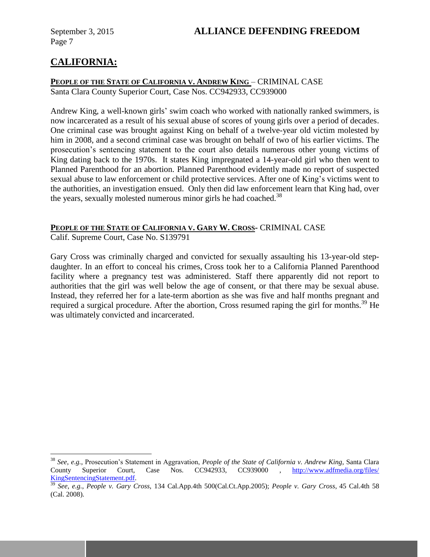# **CALIFORNIA:**

 $\overline{a}$ 

#### **PEOPLE OF THE STATE OF CALIFORNIA V. ANDREW KING** – CRIMINAL CASE Santa Clara County Superior Court, Case Nos. CC942933, CC939000

Andrew King, a well-known girls' swim coach who worked with nationally ranked swimmers, is now incarcerated as a result of his sexual abuse of scores of young girls over a period of decades. One criminal case was brought against King on behalf of a twelve-year old victim molested by him in 2008, and a second criminal case was brought on behalf of two of his earlier victims. The prosecution's sentencing statement to the court also details numerous other young victims of King dating back to the 1970s. It states King impregnated a 14-year-old girl who then went to Planned Parenthood for an abortion. Planned Parenthood evidently made no report of suspected sexual abuse to law enforcement or child protective services. After one of King's victims went to the authorities, an investigation ensued. Only then did law enforcement learn that King had, over the years, sexually molested numerous minor girls he had coached.<sup>38</sup>

#### **PEOPLE OF THE STATE OF CALIFORNIA V. GARY W. CROSS-** CRIMINAL CASE

Calif. Supreme Court, Case No. S139791

Gary Cross was criminally charged and convicted for sexually assaulting his 13-year-old stepdaughter. In an effort to conceal his crimes, Cross took her to a California Planned Parenthood facility where a pregnancy test was administered. Staff there apparently did not report to authorities that the girl was well below the age of consent, or that there may be sexual abuse. Instead, they referred her for a late-term abortion as she was five and half months pregnant and required a surgical procedure. After the abortion, Cross resumed raping the girl for months.<sup>39</sup> He was ultimately convicted and incarcerated.

<sup>38</sup> *See*, *e.g.*, Prosecution's Statement in Aggravation, *People of the State of California v. Andrew King*, Santa Clara County Superior Court, Case Nos. CC942933, CC939000 , [http://www.adfmedia.org/files/](http://www.adfmedia.org/files/%0bKingSentencingStatement.pdf) [KingSentencingStatement.pdf.](http://www.adfmedia.org/files/%0bKingSentencingStatement.pdf)

<sup>39</sup> *See*, *e.g.*, *People v. Gary Cross*, 134 Cal.App.4th 500(Cal.Ct.App.2005); *People v. Gary Cross*, 45 Cal.4th 58 (Cal. 2008).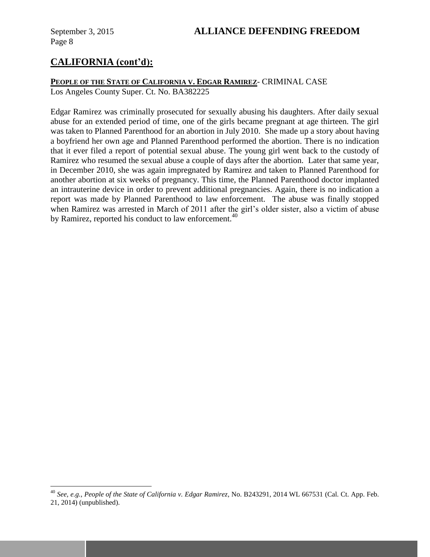$\overline{a}$ 

# **CALIFORNIA (cont'd):**

# **PEOPLE OF THE STATE OF CALIFORNIA V. EDGAR RAMIREZ**- CRIMINAL CASE

Los Angeles County Super. Ct. No. BA382225

Edgar Ramirez was criminally prosecuted for sexually abusing his daughters. After daily sexual abuse for an extended period of time, one of the girls became pregnant at age thirteen. The girl was taken to Planned Parenthood for an abortion in July 2010. She made up a story about having a boyfriend her own age and Planned Parenthood performed the abortion. There is no indication that it ever filed a report of potential sexual abuse. The young girl went back to the custody of Ramirez who resumed the sexual abuse a couple of days after the abortion. Later that same year, in December 2010, she was again impregnated by Ramirez and taken to Planned Parenthood for another abortion at six weeks of pregnancy. This time, the Planned Parenthood doctor implanted an intrauterine device in order to prevent additional pregnancies. Again, there is no indication a report was made by Planned Parenthood to law enforcement. The abuse was finally stopped when Ramirez was arrested in March of 2011 after the girl's older sister, also a victim of abuse by Ramirez, reported his conduct to law enforcement.<sup>40</sup>

<sup>40</sup> *See, e.g., People of the State of California v. Edgar Ramirez*, No. B243291, 2014 WL 667531 (Cal. Ct. App. Feb. 21, 2014) (unpublished).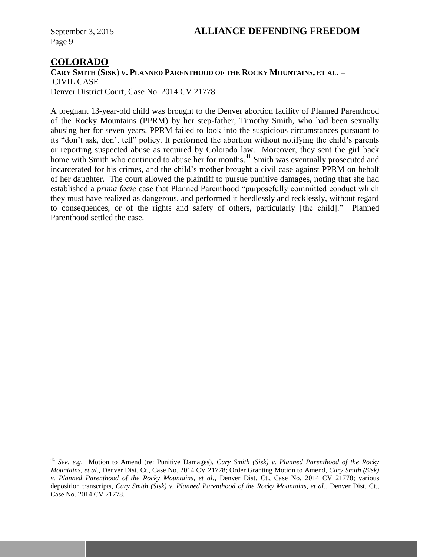## **COLORADO**

 $\overline{a}$ 

**CARY SMITH (SISK) V. PLANNED PARENTHOOD OF THE ROCKY MOUNTAINS, ET AL. –** CIVIL CASE Denver District Court, Case No. 2014 CV 21778

A pregnant 13-year-old child was brought to the Denver abortion facility of Planned Parenthood of the Rocky Mountains (PPRM) by her step-father, Timothy Smith, who had been sexually abusing her for seven years. PPRM failed to look into the suspicious circumstances pursuant to its "don't ask, don't tell" policy. It performed the abortion without notifying the child's parents or reporting suspected abuse as required by Colorado law. Moreover, they sent the girl back home with Smith who continued to abuse her for months.<sup>41</sup> Smith was eventually prosecuted and incarcerated for his crimes, and the child's mother brought a civil case against PPRM on behalf of her daughter. The court allowed the plaintiff to pursue punitive damages, noting that she had established a *prima facie* case that Planned Parenthood "purposefully committed conduct which they must have realized as dangerous, and performed it heedlessly and recklessly, without regard to consequences, or of the rights and safety of others, particularly [the child]." Planned Parenthood settled the case.

<sup>41</sup> *See, e.g,* Motion to Amend (re: Punitive Damages), *Cary Smith (Sisk) v. Planned Parenthood of the Rocky Mountains, et al.*, Denver Dist. Ct., Case No. 2014 CV 21778; Order Granting Motion to Amend, *Cary Smith (Sisk) v. Planned Parenthood of the Rocky Mountains, et al.*, Denver Dist. Ct., Case No. 2014 CV 21778; various deposition transcripts, *Cary Smith (Sisk) v. Planned Parenthood of the Rocky Mountains, et al.*, Denver Dist. Ct., Case No. 2014 CV 21778.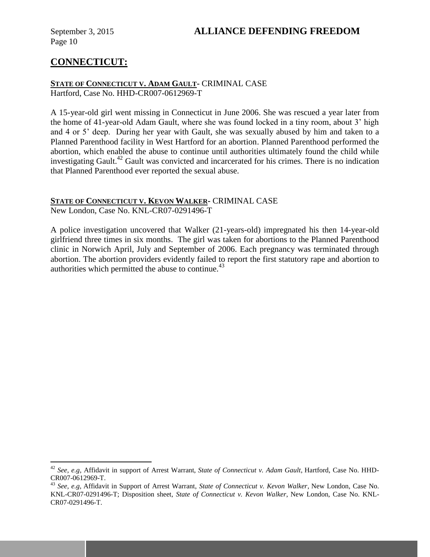$\overline{a}$ 

## September 3, 2015 **ALLIANCE DEFENDING FREEDOM**

# **CONNECTICUT:**

#### **STATE OF CONNECTICUT V. ADAM GAULT-** CRIMINAL CASE Hartford, Case No. HHD-CR007-0612969-T

A 15-year-old girl went missing in Connecticut in June 2006. She was rescued a year later from the home of 41-year-old Adam Gault, where she was found locked in a tiny room, about 3' high and 4 or 5' deep. During her year with Gault, she was sexually abused by him and taken to a Planned Parenthood facility in West Hartford for an abortion. Planned Parenthood performed the abortion, which enabled the abuse to continue until authorities ultimately found the child while investigating Gault.<sup>42</sup> Gault was convicted and incarcerated for his crimes. There is no indication that Planned Parenthood ever reported the sexual abuse.

# **STATE OF CONNECTICUT V. KEVON WALKER-** CRIMINAL CASE

New London, Case No. KNL-CR07-0291496-T

A police investigation uncovered that Walker (21-years-old) impregnated his then 14-year-old girlfriend three times in six months. The girl was taken for abortions to the Planned Parenthood clinic in Norwich April, July and September of 2006. Each pregnancy was terminated through abortion. The abortion providers evidently failed to report the first statutory rape and abortion to authorities which permitted the abuse to continue. 43

<sup>42</sup> *See, e.g,* Affidavit in support of Arrest Warrant, *State of Connecticut v. Adam Gault*, Hartford, Case No. HHD-CR007-0612969-T.

<sup>43</sup> *See, e.g,* Affidavit in Support of Arrest Warrant, *State of Connecticut v. Kevon Walker*, New London, Case No. KNL-CR07-0291496-T; Disposition sheet, *State of Connecticut v. Kevon Walker*, New London, Case No. KNL-CR07-0291496-T.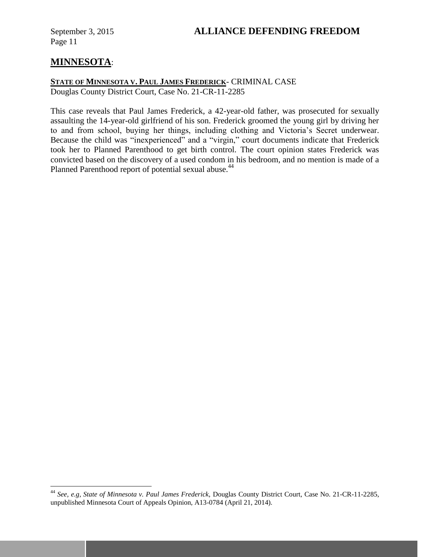# **MINNESOTA**:

 $\overline{a}$ 

#### **STATE OF MINNESOTA V. PAUL JAMES FREDERICK**- CRIMINAL CASE Douglas County District Court, Case No. 21-CR-11-2285

This case reveals that Paul James Frederick, a 42-year-old father, was prosecuted for sexually assaulting the 14-year-old girlfriend of his son. Frederick groomed the young girl by driving her to and from school, buying her things, including clothing and Victoria's Secret underwear. Because the child was "inexperienced" and a "virgin," court documents indicate that Frederick took her to Planned Parenthood to get birth control. The court opinion states Frederick was convicted based on the discovery of a used condom in his bedroom, and no mention is made of a Planned Parenthood report of potential sexual abuse.<sup>44</sup>

<sup>44</sup> *See, e.g, State of Minnesota v. Paul James Frederick,* Douglas County District Court, Case No. 21-CR-11-2285, unpublished Minnesota Court of Appeals Opinion, A13-0784 (April 21, 2014).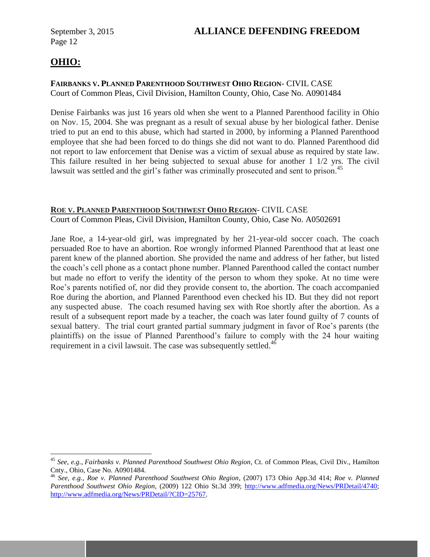# **OHIO:**

 $\overline{a}$ 

#### **FAIRBANKS V. PLANNED PARENTHOOD SOUTHWEST OHIO REGION**- CIVIL CASE Court of Common Pleas, Civil Division, Hamilton County, Ohio, Case No. A0901484

Denise Fairbanks was just 16 years old when she went to a Planned Parenthood facility in Ohio on Nov. 15, 2004. She was pregnant as a result of sexual abuse by her biological father. Denise tried to put an end to this abuse, which had started in 2000, by informing a Planned Parenthood employee that she had been forced to do things she did not want to do. Planned Parenthood did not report to law enforcement that Denise was a victim of sexual abuse as required by state law. This failure resulted in her being subjected to sexual abuse for another 1 1/2 yrs. The civil lawsuit was settled and the girl's father was criminally prosecuted and sent to prison.<sup>45</sup>

## **ROE V. PLANNED PARENTHOOD SOUTHWEST OHIO REGION**- CIVIL CASE

Court of Common Pleas, Civil Division, Hamilton County, Ohio, Case No. A0502691

Jane Roe, a 14-year-old girl, was impregnated by her 21-year-old soccer coach. The coach persuaded Roe to have an abortion. Roe wrongly informed Planned Parenthood that at least one parent knew of the planned abortion. She provided the name and address of her father, but listed the coach's cell phone as a contact phone number. Planned Parenthood called the contact number but made no effort to verify the identity of the person to whom they spoke. At no time were Roe's parents notified of, nor did they provide consent to, the abortion. The coach accompanied Roe during the abortion, and Planned Parenthood even checked his ID. But they did not report any suspected abuse. The coach resumed having sex with Roe shortly after the abortion. As a result of a subsequent report made by a teacher, the coach was later found guilty of 7 counts of sexual battery. The trial court granted partial summary judgment in favor of Roe's parents (the plaintiffs) on the issue of Planned Parenthood's failure to comply with the 24 hour waiting requirement in a civil lawsuit. The case was subsequently settled.<sup>46</sup>

<sup>45</sup> *See, e.g., Fairbanks v. Planned Parenthood Southwest Ohio Region*, Ct. of Common Pleas, Civil Div., Hamilton Cnty., Ohio, Case No. A0901484.

<sup>46</sup> *See, e.g., Roe v. Planned Parenthood Southwest Ohio Region*, (2007) 173 Ohio App.3d 414; *Roe v. Planned Parenthood Southwest Ohio Region*, (2009) 122 Ohio St.3d 399; [http://www.adfmedia.org/News/PRDetail/4740;](http://www.adfmedia.org/News/PRDetail/4740) [http://www.adfmedia.org/News/PRDetail/?CID=25767.](http://www.adfmedia.org/News/PRDetail/?CID=25767)